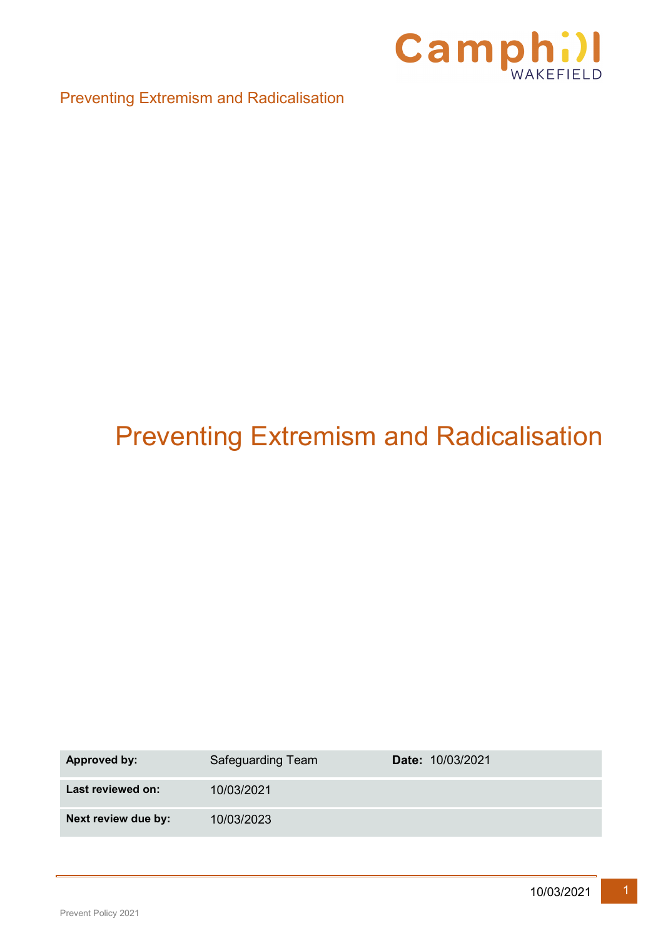

# Preventing Extremism and Radicalisation

| <b>Approved by:</b> | Safeguarding Team | <b>Date: 10/03/2021</b> |
|---------------------|-------------------|-------------------------|
| Last reviewed on:   | 10/03/2021        |                         |
| Next review due by: | 10/03/2023        |                         |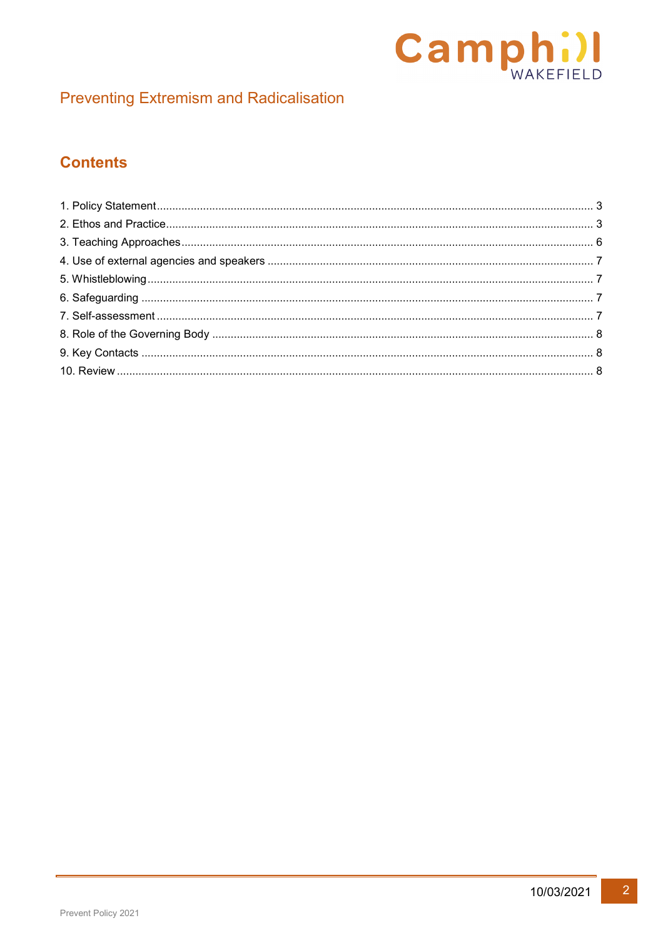

# **Contents**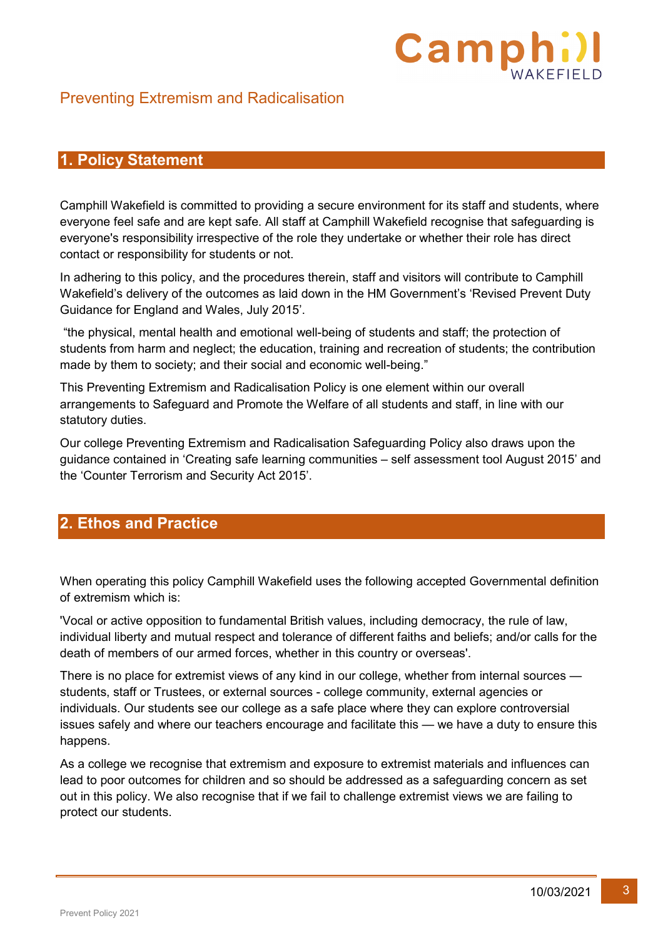# Camp

# Preventing Extremism and Radicalisation

### <span id="page-2-0"></span>**1. Policy Statement**

Camphill Wakefield is committed to providing a secure environment for its staff and students, where everyone feel safe and are kept safe. All staff at Camphill Wakefield recognise that safeguarding is everyone's responsibility irrespective of the role they undertake or whether their role has direct contact or responsibility for students or not.

In adhering to this policy, and the procedures therein, staff and visitors will contribute to Camphill Wakefield's delivery of the outcomes as laid down in the HM Government's 'Revised Prevent Duty Guidance for England and Wales, July 2015'.

"the physical, mental health and emotional well-being of students and staff; the protection of students from harm and neglect; the education, training and recreation of students; the contribution made by them to society; and their social and economic well-being."

This Preventing Extremism and Radicalisation Policy is one element within our overall arrangements to Safeguard and Promote the Welfare of all students and staff, in line with our statutory duties.

Our college Preventing Extremism and Radicalisation Safeguarding Policy also draws upon the guidance contained in 'Creating safe learning communities – self assessment tool August 2015' and the 'Counter Terrorism and Security Act 2015'.

# <span id="page-2-1"></span>**2. Ethos and Practice**

When operating this policy Camphill Wakefield uses the following accepted Governmental definition of extremism which is:

'Vocal or active opposition to fundamental British values, including democracy, the rule of law, individual liberty and mutual respect and tolerance of different faiths and beliefs; and/or calls for the death of members of our armed forces, whether in this country or overseas'.

There is no place for extremist views of any kind in our college, whether from internal sources students, staff or Trustees, or external sources - college community, external agencies or individuals. Our students see our college as a safe place where they can explore controversial issues safely and where our teachers encourage and facilitate this — we have a duty to ensure this happens.

As a college we recognise that extremism and exposure to extremist materials and influences can lead to poor outcomes for children and so should be addressed as a safeguarding concern as set out in this policy. We also recognise that if we fail to challenge extremist views we are failing to protect our students.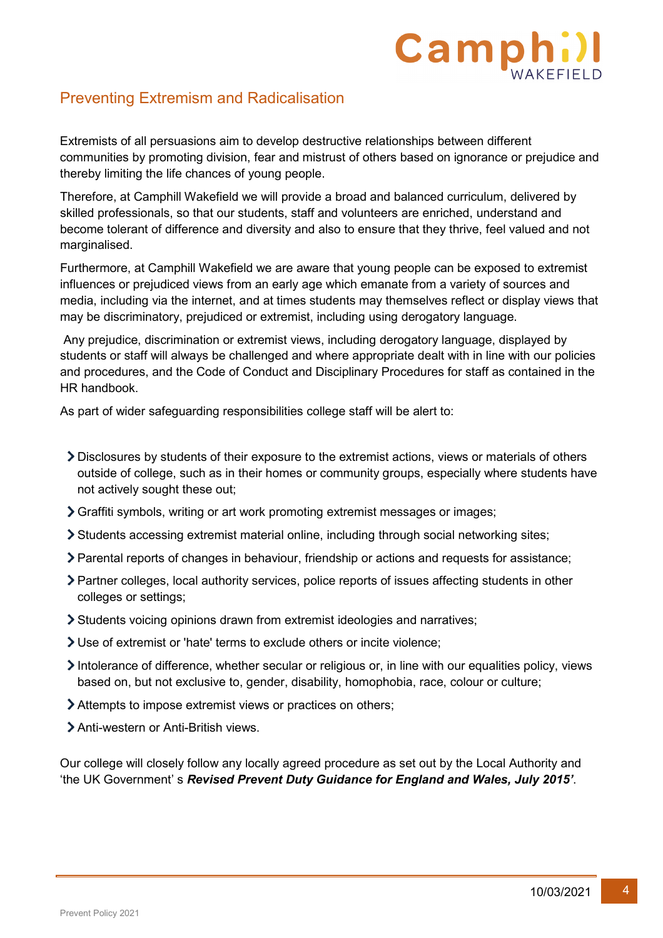# Camp

# Preventing Extremism and Radicalisation

Extremists of all persuasions aim to develop destructive relationships between different communities by promoting division, fear and mistrust of others based on ignorance or prejudice and thereby limiting the life chances of young people.

Therefore, at Camphill Wakefield we will provide a broad and balanced curriculum, delivered by skilled professionals, so that our students, staff and volunteers are enriched, understand and become tolerant of difference and diversity and also to ensure that they thrive, feel valued and not marginalised.

Furthermore, at Camphill Wakefield we are aware that young people can be exposed to extremist influences or prejudiced views from an early age which emanate from a variety of sources and media, including via the internet, and at times students may themselves reflect or display views that may be discriminatory, prejudiced or extremist, including using derogatory language.

Any prejudice, discrimination or extremist views, including derogatory language, displayed by students or staff will always be challenged and where appropriate dealt with in line with our policies and procedures, and the Code of Conduct and Disciplinary Procedures for staff as contained in the HR handbook.

As part of wider safeguarding responsibilities college staff will be alert to:

- Disclosures by students of their exposure to the extremist actions, views or materials of others outside of college, such as in their homes or community groups, especially where students have not actively sought these out;
- Graffiti symbols, writing or art work promoting extremist messages or images;
- Students accessing extremist material online, including through social networking sites;
- Parental reports of changes in behaviour, friendship or actions and requests for assistance;
- Partner colleges, local authority services, police reports of issues affecting students in other colleges or settings;
- Students voicing opinions drawn from extremist ideologies and narratives;
- Use of extremist or 'hate' terms to exclude others or incite violence;
- Intolerance of difference, whether secular or religious or, in line with our equalities policy, views based on, but not exclusive to, gender, disability, homophobia, race, colour or culture;
- Attempts to impose extremist views or practices on others;
- > Anti-western or Anti-British views

Our college will closely follow any locally agreed procedure as set out by the Local Authority and 'the UK Government' s *Revised Prevent Duty Guidance for England and Wales, July 2015'*.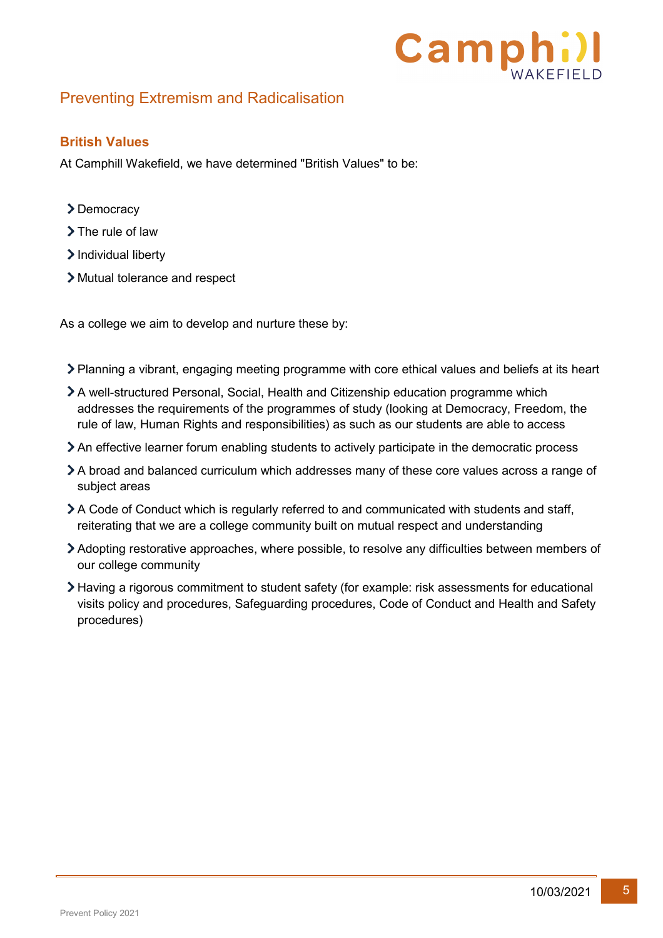

#### **British Values**

At Camphill Wakefield, we have determined "British Values" to be:

- >Democracy
- > The rule of law
- > Individual liberty
- Mutual tolerance and respect

As a college we aim to develop and nurture these by:

- Planning a vibrant, engaging meeting programme with core ethical values and beliefs at its heart
- A well-structured Personal, Social, Health and Citizenship education programme which addresses the requirements of the programmes of study (looking at Democracy, Freedom, the rule of law, Human Rights and responsibilities) as such as our students are able to access
- An effective learner forum enabling students to actively participate in the democratic process
- A broad and balanced curriculum which addresses many of these core values across a range of subject areas
- A Code of Conduct which is regularly referred to and communicated with students and staff, reiterating that we are a college community built on mutual respect and understanding
- Adopting restorative approaches, where possible, to resolve any difficulties between members of our college community
- Having a rigorous commitment to student safety (for example: risk assessments for educational visits policy and procedures, Safeguarding procedures, Code of Conduct and Health and Safety procedures)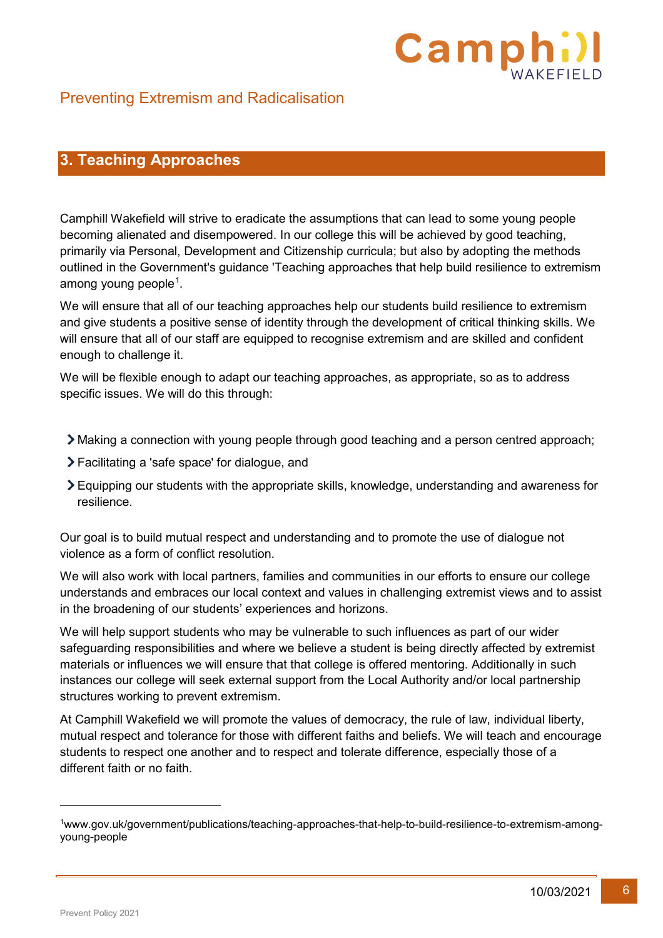

# <span id="page-5-0"></span>**3. Teaching Approaches**

Camphill Wakefield will strive to eradicate the assumptions that can lead to some young people becoming alienated and disempowered. In our college this will be achieved by good teaching, primarily via Personal, Development and Citizenship curricula; but also by adopting the methods outlined in the Government's guidance 'Teaching approaches that help build resilience to extremism among young people $^{\rm 1}.$  $^{\rm 1}.$  $^{\rm 1}.$ 

We will ensure that all of our teaching approaches help our students build resilience to extremism and give students a positive sense of identity through the development of critical thinking skills. We will ensure that all of our staff are equipped to recognise extremism and are skilled and confident enough to challenge it.

We will be flexible enough to adapt our teaching approaches, as appropriate, so as to address specific issues. We will do this through:

- Making a connection with young people through good teaching and a person centred approach;
- Facilitating a 'safe space' for dialogue, and
- Equipping our students with the appropriate skills, knowledge, understanding and awareness for resilience.

Our goal is to build mutual respect and understanding and to promote the use of dialogue not violence as a form of conflict resolution.

We will also work with local partners, families and communities in our efforts to ensure our college understands and embraces our local context and values in challenging extremist views and to assist in the broadening of our students' experiences and horizons.

We will help support students who may be vulnerable to such influences as part of our wider safeguarding responsibilities and where we believe a student is being directly affected by extremist materials or influences we will ensure that that college is offered mentoring. Additionally in such instances our college will seek external support from the Local Authority and/or local partnership structures working to prevent extremism.

At Camphill Wakefield we will promote the values of democracy, the rule of law, individual liberty, mutual respect and tolerance for those with different faiths and beliefs. We will teach and encourage students to respect one another and to respect and tolerate difference, especially those of a different faith or no faith.

-

<span id="page-5-1"></span><sup>1</sup>www.gov.uk/government/publications/teaching-approaches-that-help-to-build-resilience-to-extremism-amongyoung-people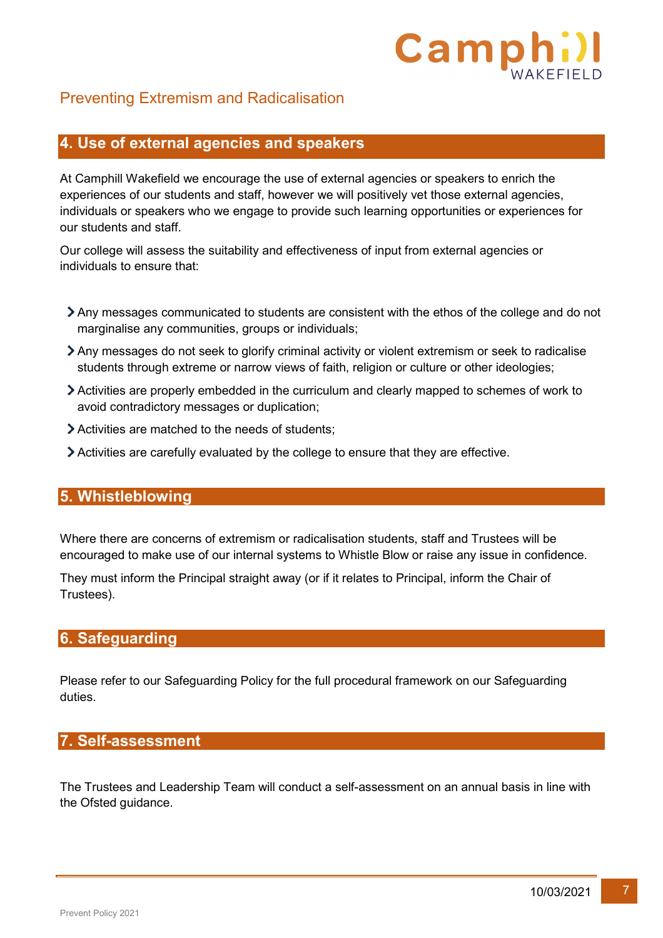

#### <span id="page-6-0"></span>**4. Use of external agencies and speakers**

At Camphill Wakefield we encourage the use of external agencies or speakers to enrich the experiences of our students and staff, however we will positively vet those external agencies, individuals or speakers who we engage to provide such learning opportunities or experiences for our students and staff.

Our college will assess the suitability and effectiveness of input from external agencies or individuals to ensure that:

- Any messages communicated to students are consistent with the ethos of the college and do not marginalise any communities, groups or individuals;
- Any messages do not seek to glorify criminal activity or violent extremism or seek to radicalise students through extreme or narrow views of faith, religion or culture or other ideologies;
- Activities are properly embedded in the curriculum and clearly mapped to schemes of work to avoid contradictory messages or duplication;
- Activities are matched to the needs of students;
- Activities are carefully evaluated by the college to ensure that they are effective.

#### <span id="page-6-1"></span>**5. Whistleblowing**

Where there are concerns of extremism or radicalisation students, staff and Trustees will be encouraged to make use of our internal systems to Whistle Blow or raise any issue in confidence.

They must inform the Principal straight away (or if it relates to Principal, inform the Chair of Trustees).

#### <span id="page-6-2"></span>**6. Safeguarding**

Please refer to our Safeguarding Policy for the full procedural framework on our Safeguarding duties.

#### <span id="page-6-3"></span>**7. Self-assessment**

The Trustees and Leadership Team will conduct a self-assessment on an annual basis in line with the Ofsted guidance.